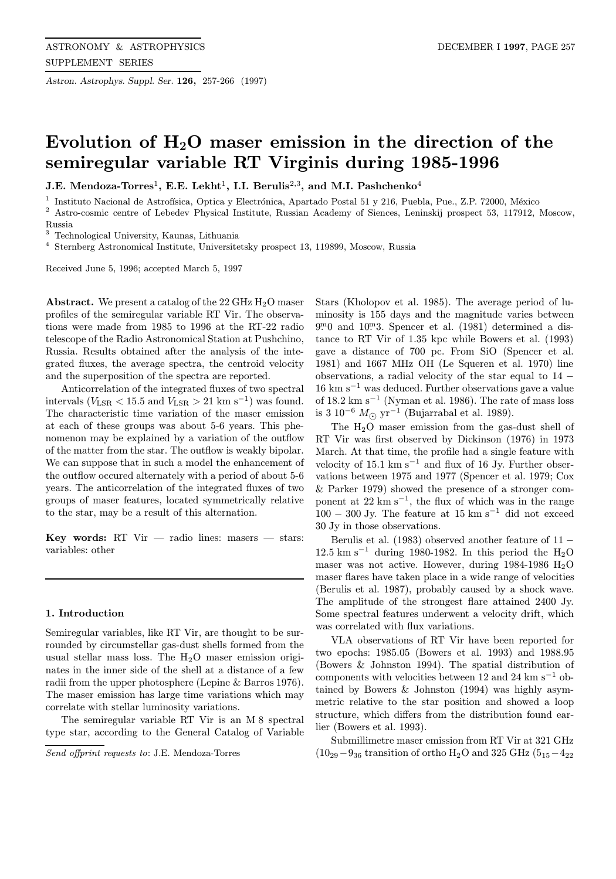Astron. Astrophys. Suppl. Ser. 126, 257-266 (1997)

# Evolution of  $H_2O$  maser emission in the direction of the semiregular variable RT Virginis during 1985-1996

J.E. Mendoza-Torres<sup>1</sup>, E.E. Lekht<sup>1</sup>, I.I. Berulis<sup>2,3</sup>, and M.I. Pashchenko<sup>4</sup>

<sup>1</sup> Instituto Nacional de Astrofísica, Optica y Electrónica, Apartado Postal 51 y 216, Puebla, Pue., Z.P. 72000, México

<sup>2</sup> Astro-cosmic centre of Lebedev Physical Institute, Russian Academy of Siences, Leninskij prospect 53, 117912, Moscow, Russia

<sup>3</sup> Technological University, Kaunas, Lithuania

<sup>4</sup> Sternberg Astronomical Institute, Universitetsky prospect 13, 119899, Moscow, Russia

Received June 5, 1996; accepted March 5, 1997

**Abstract.** We present a catalog of the 22 GHz  $H_2O$  maser profiles of the semiregular variable RT Vir. The observations were made from 1985 to 1996 at the RT-22 radio telescope of the Radio Astronomical Station at Pushchino, Russia. Results obtained after the analysis of the integrated fluxes, the average spectra, the centroid velocity and the superposition of the spectra are reported.

Anticorrelation of the integrated fluxes of two spectral intervals ( $V_{\text{LSR}} < 15.5$  and  $V_{\text{LSR}} > 21 \text{ km s}^{-1}$ ) was found. The characteristic time variation of the maser emission at each of these groups was about 5-6 years. This phenomenon may be explained by a variation of the outflow of the matter from the star. The outflow is weakly bipolar. We can suppose that in such a model the enhancement of the outflow occured alternately with a period of about 5-6 years. The anticorrelation of the integrated fluxes of two groups of maser features, located symmetrically relative to the star, may be a result of this alternation.

Key words: RT Vir  $-$  radio lines: masers  $-$  stars: variables: other

#### 1. Introduction

Semiregular variables, like RT Vir, are thought to be surrounded by circumstellar gas-dust shells formed from the usual stellar mass loss. The  $H_2O$  maser emission originates in the inner side of the shell at a distance of a few radii from the upper photosphere (Lepine & Barros 1976). The maser emission has large time variations which may correlate with stellar luminosity variations.

The semiregular variable RT Vir is an M 8 spectral type star, according to the General Catalog of Variable

Stars (Kholopov et al. 1985). The average period of luminosity is 155 days and the magnitude varies between 9<sup>m</sup>0 and 10<sup>m</sup>3. Spencer et al. (1981) determined a distance to RT Vir of 1.35 kpc while Bowers et al. (1993) gave a distance of 700 pc. From SiO (Spencer et al. 1981) and 1667 MHz OH (Le Squeren et al. 1970) line observations, a radial velocity of the star equal to 14 −  $16 \text{ km s}^{-1}$  was deduced. Further observations gave a value of 18.2 km s<sup> $-1$ </sup> (Nyman et al. 1986). The rate of mass loss is 3 10<sup>-6</sup>  $M_{\odot}$  yr<sup>-1</sup> (Bujarrabal et al. 1989).

The H2O maser emission from the gas-dust shell of RT Vir was first observed by Dickinson (1976) in 1973 March. At that time, the profile had a single feature with velocity of 15.1 km s<sup> $-1$ </sup> and flux of 16 Jy. Further observations between 1975 and 1977 (Spencer et al. 1979; Cox & Parker 1979) showed the presence of a stronger component at  $22 \text{ km s}^{-1}$ , the flux of which was in the range  $100 - 300$  Jy. The feature at  $15 \text{ km s}^{-1}$  did not exceed 30 Jy in those observations.

Berulis et al. (1983) observed another feature of  $11 -$ 12.5 km s<sup> $-1$ </sup> during 1980-1982. In this period the H<sub>2</sub>O maser was not active. However, during 1984-1986  $H<sub>2</sub>O$ maser flares have taken place in a wide range of velocities (Berulis et al. 1987), probably caused by a shock wave. The amplitude of the strongest flare attained 2400 Jy. Some spectral features underwent a velocity drift, which was correlated with flux variations.

VLA observations of RT Vir have been reported for two epochs: 1985.05 (Bowers et al. 1993) and 1988.95 (Bowers & Johnston 1994). The spatial distribution of components with velocities between 12 and 24 km s<sup> $-1$ </sup> obtained by Bowers & Johnston (1994) was highly asymmetric relative to the star position and showed a loop structure, which differs from the distribution found earlier (Bowers et al. 1993).

Submillimetre maser emission from RT Vir at 321 GHz  $(10_{29}-9_{36}$  transition of ortho H<sub>2</sub>O and 325 GHz (5<sub>15</sub> $-4_{22}$ )

Send offprint requests to: J.E. Mendoza-Torres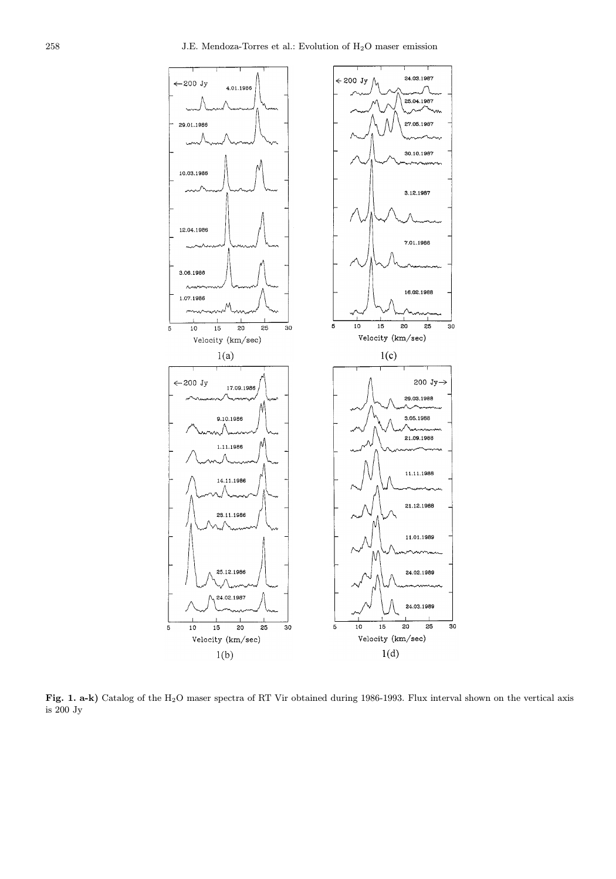

Fig. 1. a-k) Catalog of the H<sub>2</sub>O maser spectra of RT Vir obtained during 1986-1993. Flux interval shown on the vertical axis is 200 Jy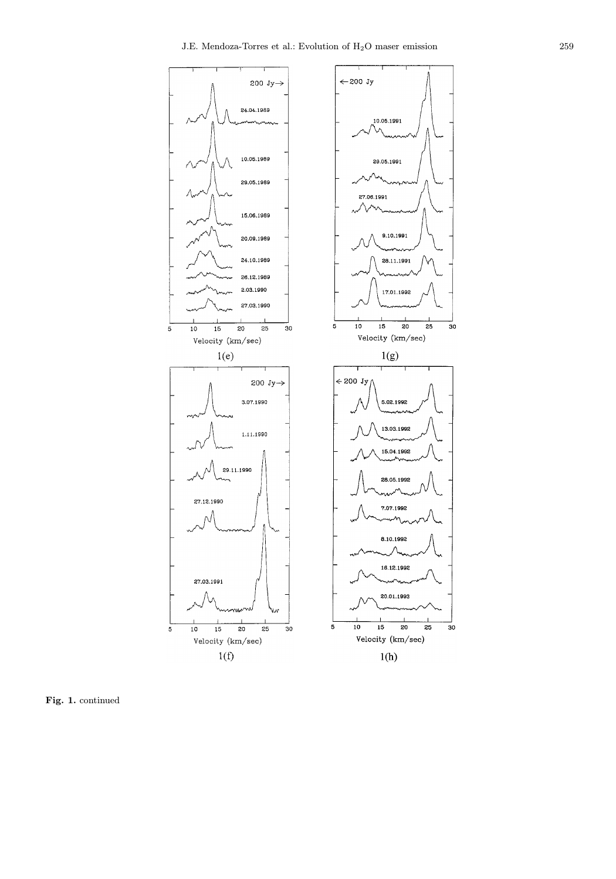

Fig. 1. continued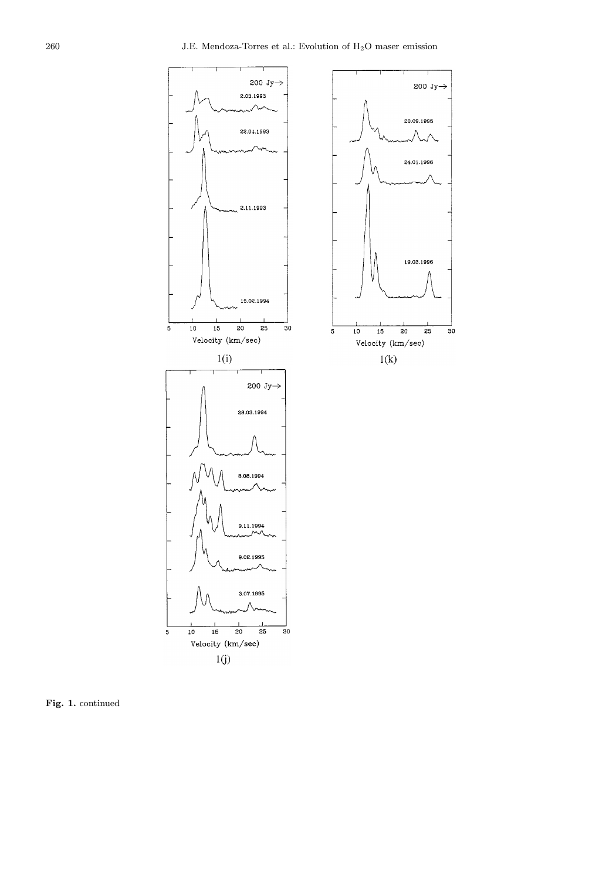

Fig. 1. continued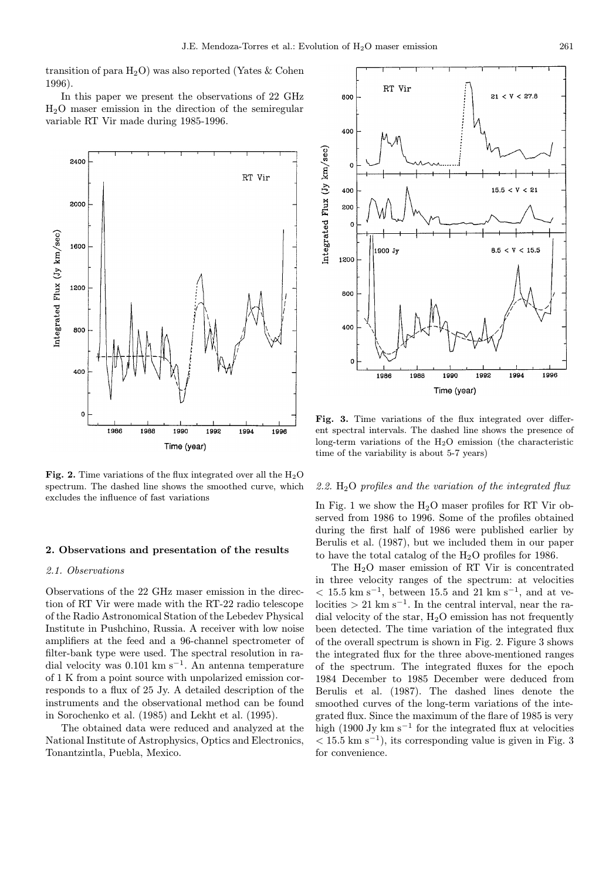transition of para  $H_2O$ ) was also reported (Yates & Cohen 1996).

In this paper we present the observations of 22 GHz H2O maser emission in the direction of the semiregular variable RT Vir made during 1985-1996.



Fig. 2. Time variations of the flux integrated over all the  $H_2O$ spectrum. The dashed line shows the smoothed curve, which excludes the influence of fast variations

#### 2. Observations and presentation of the results

## 2.1. Observations

Observations of the 22 GHz maser emission in the direction of RT Vir were made with the RT-22 radio telescope of the Radio Astronomical Station of the Lebedev Physical Institute in Pushchino, Russia. A receiver with low noise amplifiers at the feed and a 96-channel spectrometer of filter-bank type were used. The spectral resolution in radial velocity was  $0.101 \text{ km s}^{-1}$ . An antenna temperature of 1 K from a point source with unpolarized emission corresponds to a flux of 25 Jy. A detailed description of the instruments and the observational method can be found in Sorochenko et al. (1985) and Lekht et al. (1995).

The obtained data were reduced and analyzed at the National Institute of Astrophysics, Optics and Electronics, Tonantzintla, Puebla, Mexico.



Fig. 3. Time variations of the flux integrated over different spectral intervals. The dashed line shows the presence of long-term variations of the  $H_2O$  emission (the characteristic time of the variability is about 5-7 years)

## 2.2.  $H_2O$  profiles and the variation of the integrated flux

In Fig. 1 we show the  $H_2O$  maser profiles for RT Vir observed from 1986 to 1996. Some of the profiles obtained during the first half of 1986 were published earlier by Berulis et al. (1987), but we included them in our paper to have the total catalog of the  $H_2O$  profiles for 1986.

The H2O maser emission of RT Vir is concentrated in three velocity ranges of the spectrum: at velocities  $<$  15.5 km s<sup>-1</sup>, between 15.5 and 21 km s<sup>-1</sup>, and at velocities > 21 km s<sup>-1</sup>. In the central interval, near the radial velocity of the star,  $H_2O$  emission has not frequently been detected. The time variation of the integrated flux of the overall spectrum is shown in Fig. 2. Figure 3 shows the integrated flux for the three above-mentioned ranges of the spectrum. The integrated fluxes for the epoch 1984 December to 1985 December were deduced from Berulis et al. (1987). The dashed lines denote the smoothed curves of the long-term variations of the integrated flux. Since the maximum of the flare of 1985 is very high (1900 Jy km s<sup> $-1$ </sup> for the integrated flux at velocities  $< 15.5 \text{ km s}^{-1}$ , its corresponding value is given in Fig. 3 for convenience.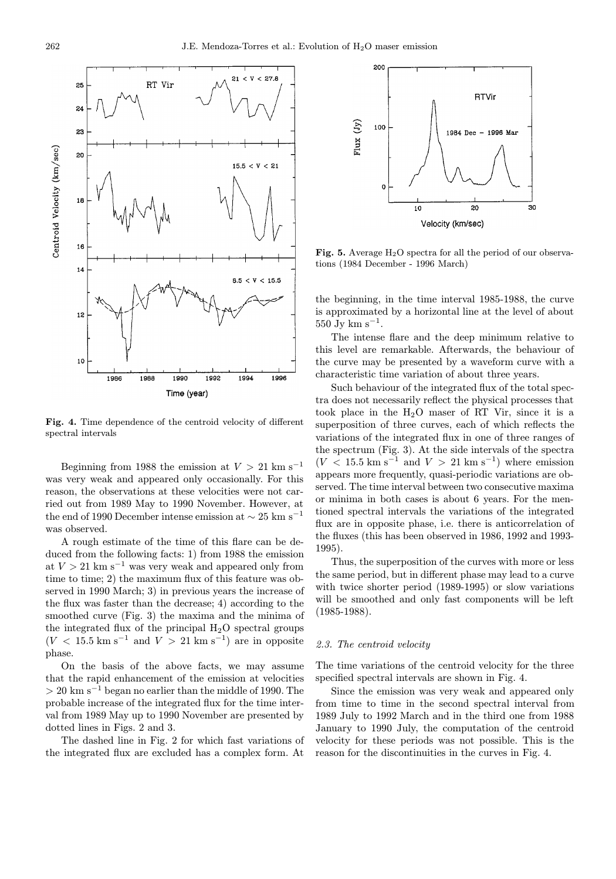

Fig. 4. Time dependence of the centroid velocity of different spectral intervals

Beginning from 1988 the emission at  $V > 21$  km s<sup>-1</sup> was very weak and appeared only occasionally. For this reason, the observations at these velocities were not carried out from 1989 May to 1990 November. However, at the end of 1990 December intense emission at  $\sim 25$  km s<sup>-1</sup> was observed.

A rough estimate of the time of this flare can be deduced from the following facts: 1) from 1988 the emission at  $V > 21$  km s<sup>-1</sup> was very weak and appeared only from time to time; 2) the maximum flux of this feature was observed in 1990 March; 3) in previous years the increase of the flux was faster than the decrease; 4) according to the smoothed curve (Fig. 3) the maxima and the minima of the integrated flux of the principal  $H_2O$  spectral groups  $(V < 15.5$  km s<sup>-1</sup> and  $V > 21$  km s<sup>-1</sup>) are in opposite phase.

On the basis of the above facts, we may assume that the rapid enhancement of the emission at velocities  $> 20$  km s<sup>-1</sup> began no earlier than the middle of 1990. The probable increase of the integrated flux for the time interval from 1989 May up to 1990 November are presented by dotted lines in Figs. 2 and 3.

The dashed line in Fig. 2 for which fast variations of the integrated flux are excluded has a complex form. At



Fig. 5. Average  $H_2O$  spectra for all the period of our observations (1984 December - 1996 March)

the beginning, in the time interval 1985-1988, the curve is approximated by a horizontal line at the level of about  $550 \text{ Jy km s}^{-1}$ .

The intense flare and the deep minimum relative to this level are remarkable. Afterwards, the behaviour of the curve may be presented by a waveform curve with a characteristic time variation of about three years.

Such behaviour of the integrated flux of the total spectra does not necessarily reflect the physical processes that took place in the H2O maser of RT Vir, since it is a superposition of three curves, each of which reflects the variations of the integrated flux in one of three ranges of the spectrum (Fig. 3). At the side intervals of the spectra  $(V < 15.5$  km s<sup>-1</sup> and  $V > 21$  km s<sup>-1</sup>) where emission appears more frequently, quasi-periodic variations are observed. The time interval between two consecutive maxima or minima in both cases is about 6 years. For the mentioned spectral intervals the variations of the integrated flux are in opposite phase, i.e. there is anticorrelation of the fluxes (this has been observed in 1986, 1992 and 1993- 1995).

Thus, the superposition of the curves with more or less the same period, but in different phase may lead to a curve with twice shorter period (1989-1995) or slow variations will be smoothed and only fast components will be left (1985-1988).

## 2.3. The centroid velocity

The time variations of the centroid velocity for the three specified spectral intervals are shown in Fig. 4.

Since the emission was very weak and appeared only from time to time in the second spectral interval from 1989 July to 1992 March and in the third one from 1988 January to 1990 July, the computation of the centroid velocity for these periods was not possible. This is the reason for the discontinuities in the curves in Fig. 4.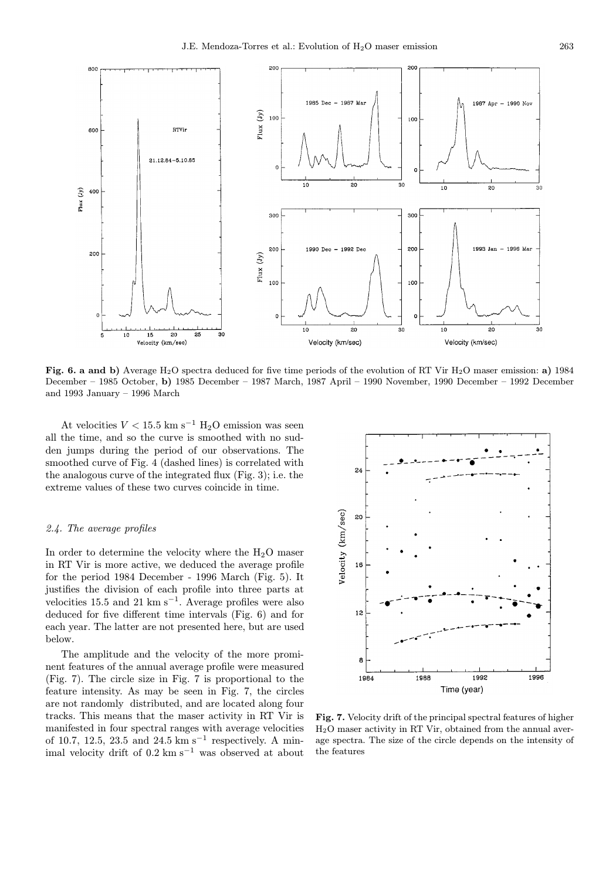

Fig. 6. a and b) Average H<sub>2</sub>O spectra deduced for five time periods of the evolution of RT Vir H<sub>2</sub>O maser emission: a) 1984 December – 1985 October, b) 1985 December – 1987 March, 1987 April – 1990 November, 1990 December – 1992 December and 1993 January – 1996 March

At velocities  $V < 15.5$  km s<sup>-1</sup> H<sub>2</sub>O emission was seen all the time, and so the curve is smoothed with no sudden jumps during the period of our observations. The smoothed curve of Fig. 4 (dashed lines) is correlated with the analogous curve of the integrated flux (Fig. 3); i.e. the extreme values of these two curves coincide in time.

#### 2.4. The average profiles

In order to determine the velocity where the  $H_2O$  maser in RT Vir is more active, we deduced the average profile for the period 1984 December - 1996 March (Fig. 5). It justifies the division of each profile into three parts at velocities 15.5 and 21 km s<sup>−</sup><sup>1</sup>. Average profiles were also deduced for five different time intervals (Fig. 6) and for each year. The latter are not presented here, but are used below.

The amplitude and the velocity of the more prominent features of the annual average profile were measured (Fig. 7). The circle size in Fig. 7 is proportional to the feature intensity. As may be seen in Fig. 7, the circles are not randomly distributed, and are located along four tracks. This means that the maser activity in RT Vir is manifested in four spectral ranges with average velocities of 10.7, 12.5, 23.5 and 24.5 km s<sup>-1</sup> respectively. A minimal velocity drift of 0.2 km s<sup>−</sup><sup>1</sup> was observed at about



Fig. 7. Velocity drift of the principal spectral features of higher H2O maser activity in RT Vir, obtained from the annual average spectra. The size of the circle depends on the intensity of the features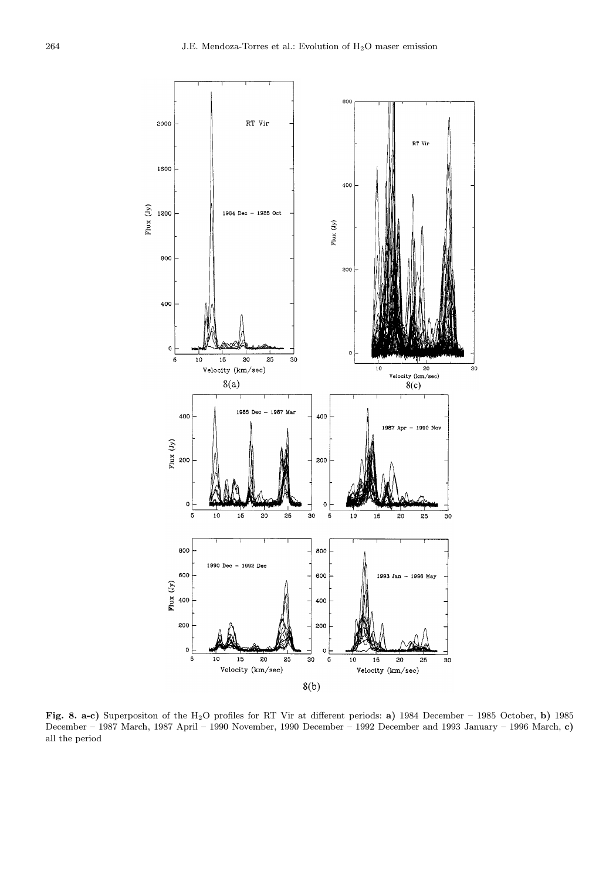

Fig. 8. a-c) Superpositon of the H2O profiles for RT Vir at different periods: a) 1984 December – 1985 October, b) 1985 December – 1987 March, 1987 April – 1990 November, 1990 December – 1992 December and 1993 January – 1996 March, c) all the period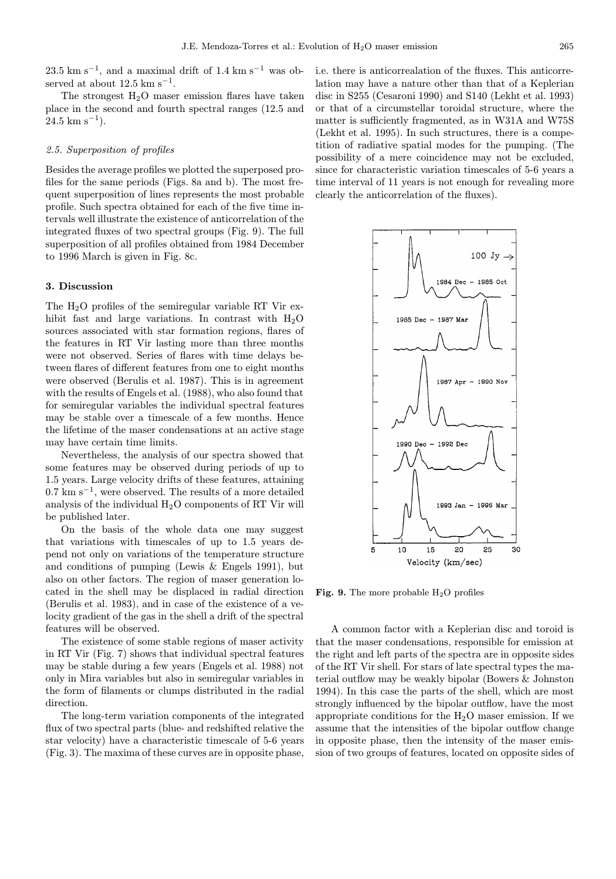23.5 km s<sup>−1</sup>, and a maximal drift of 1.4 km s<sup>−1</sup> was observed at about  $12.5 \text{ km s}^{-1}$ .

The strongest  $H_2O$  maser emission flares have taken place in the second and fourth spectral ranges (12.5 and  $24.5 \text{ km s}^{-1}$ ).

#### 2.5. Superposition of profiles

Besides the average profiles we plotted the superposed profiles for the same periods (Figs. 8a and b). The most frequent superposition of lines represents the most probable profile. Such spectra obtained for each of the five time intervals well illustrate the existence of anticorrelation of the integrated fluxes of two spectral groups (Fig. 9). The full superposition of all profiles obtained from 1984 December to 1996 March is given in Fig. 8c.

#### 3. Discussion

The H2O profiles of the semiregular variable RT Vir exhibit fast and large variations. In contrast with  $H_2O$ sources associated with star formation regions, flares of the features in RT Vir lasting more than three months were not observed. Series of flares with time delays between flares of different features from one to eight months were observed (Berulis et al. 1987). This is in agreement with the results of Engels et al. (1988), who also found that for semiregular variables the individual spectral features may be stable over a timescale of a few months. Hence the lifetime of the maser condensations at an active stage may have certain time limits.

Nevertheless, the analysis of our spectra showed that some features may be observed during periods of up to 1.5 years. Large velocity drifts of these features, attaining  $0.7 \text{ km s}^{-1}$ , were observed. The results of a more detailed analysis of the individual H2O components of RT Vir will be published later.

On the basis of the whole data one may suggest that variations with timescales of up to 1.5 years depend not only on variations of the temperature structure and conditions of pumping (Lewis & Engels 1991), but also on other factors. The region of maser generation located in the shell may be displaced in radial direction (Berulis et al. 1983), and in case of the existence of a velocity gradient of the gas in the shell a drift of the spectral features will be observed.

The existence of some stable regions of maser activity in RT Vir (Fig. 7) shows that individual spectral features may be stable during a few years (Engels et al. 1988) not only in Mira variables but also in semiregular variables in the form of filaments or clumps distributed in the radial direction.

The long-term variation components of the integrated flux of two spectral parts (blue- and redshifted relative the star velocity) have a characteristic timescale of 5-6 years (Fig. 3). The maxima of these curves are in opposite phase, i.e. there is anticorrealation of the fluxes. This anticorrelation may have a nature other than that of a Keplerian disc in S255 (Cesaroni 1990) and S140 (Lekht et al. 1993) or that of a circumstellar toroidal structure, where the matter is sufficiently fragmented, as in W31A and W75S (Lekht et al. 1995). In such structures, there is a competition of radiative spatial modes for the pumping. (The possibility of a mere coincidence may not be excluded, since for characteristic variation timescales of 5-6 years a time interval of 11 years is not enough for revealing more clearly the anticorrelation of the fluxes).



Fig. 9. The more probable  $H_2O$  profiles

A common factor with a Keplerian disc and toroid is that the maser condensations, responsible for emission at the right and left parts of the spectra are in opposite sides of the RT Vir shell. For stars of late spectral types the material outflow may be weakly bipolar (Bowers & Johnston 1994). In this case the parts of the shell, which are most strongly influenced by the bipolar outflow, have the most appropriate conditions for the  $H_2O$  maser emission. If we assume that the intensities of the bipolar outflow change in opposite phase, then the intensity of the maser emission of two groups of features, located on opposite sides of